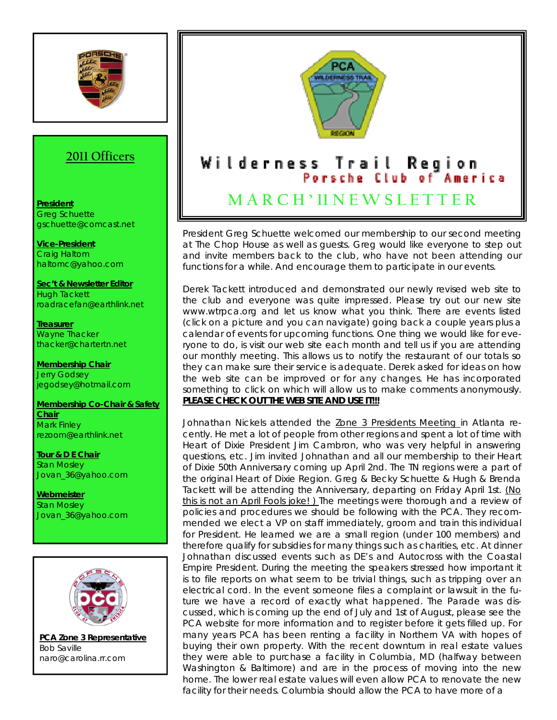

## **2011 Officers**

## **President** Greg Schuette gschuette@comcast.net

**Vice-President** Craig Haltom haltomc@yahoo.com

**Sec't & Newsletter Editor** Hugh Tackett roadracefan@earthlink.net

**Treasurer** Wayne Thacker thacker@chartertn.net

**Membership Chair** Jerry Godsey jegodsey@hotmail.com

**Membership Co-Chair & Safety Chair** Mark Finley rezoom@earthlink.net

**Tour & D E Chair** Stan Mosley Jovan\_36@yahoo.com

**Webmeister** Stan Mosley Jovan\_36@yahoo.com



**PCA Zone 3 Representative** Bob Saville naro@carolina.rr.com



President Greg Schuette welcomed our membership to our second meeting at The Chop House as well as guests. Greg would like everyone to step out and invite members back to the club, who have not been attending our functions for a while. And encourage them to participate in our events.

Derek Tackett introduced and demonstrated our newly revised web site to the club and everyone was quite impressed. Please try out our new site www.wtrpca.org and let us know what you think. There are events listed (click on a picture and you can navigate) going back a couple years plus a calendar of events for upcoming functions. One thing we would like for everyone to do, is visit our web site each month and tell us if you are attending our monthly meeting. This allows us to notify the restaurant of our totals so they can make sure their service is adequate. Derek asked for ideas on how the web site can be improved or for any changes. He has incorporated something to click on which will allow us to make comments anonymously. PLEASE CHECK OUT THE WEB SITE AND USE IT!!!

Johnathan Nickels attended the Zone 3 Presidents Meeting in Atlanta recently. He met a lot of people from other regions and spent a lot of time with Heart of Dixie President Jim Cambron, who was very helpful in answering questions, etc. Jim invited Johnathan and all our membership to their Heart of Dixie 50th Anniversary coming up April 2nd. The TN regions were a part of the original Heart of Dixie Region. Greg & Becky Schuette & Hugh & Brenda Tackett will be attending the Anniversary, departing on Friday April 1st. (No this is not an April Fools joke! ) The meetings were thorough and a review of policies and procedures we should be following with the PCA. They recommended we elect a VP on staff immediately, groom and train this individual for President. He learned we are a small region (under 100 members) and therefore qualify for subsidies for many things such as charities, etc. At dinner Johnathan discussed events such as DE's and Autocross with the Coastal Empire President. During the meeting the speakers stressed how important it is to file reports on what seem to be trivial things, such as tripping over an electrical cord. In the event someone files a complaint or lawsuit in the future we have a record of exactly what happened. The Parade was discussed, which is coming up the end of July and 1st of August, please see the PCA website for more information and to register before it gets filled up. For many years PCA has been renting a facility in Northern VA with hopes of buying their own property. With the recent downturn in real estate values they were able to purchase a facility in Columbia, MD (halfway between Washington & Baltimore) and are in the process of moving into the new home. The lower real estate values will even allow PCA to renovate the new facility for their needs. Columbia should allow the PCA to have more of a